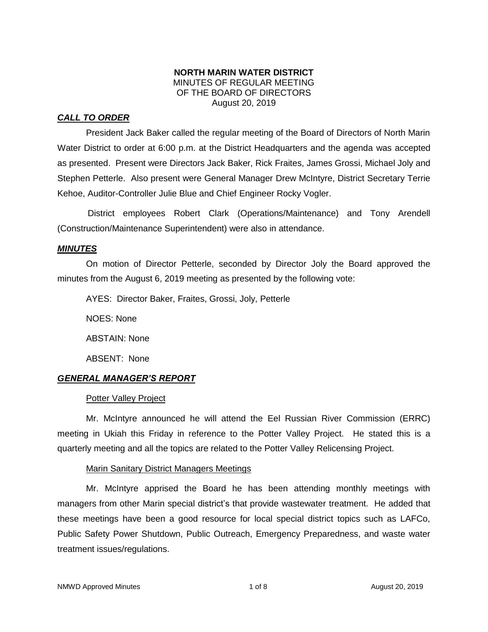## **NORTH MARIN WATER DISTRICT** MINUTES OF REGULAR MEETING OF THE BOARD OF DIRECTORS August 20, 2019

## *CALL TO ORDER*

President Jack Baker called the regular meeting of the Board of Directors of North Marin Water District to order at 6:00 p.m. at the District Headquarters and the agenda was accepted as presented. Present were Directors Jack Baker, Rick Fraites, James Grossi, Michael Joly and Stephen Petterle. Also present were General Manager Drew McIntyre, District Secretary Terrie Kehoe, Auditor-Controller Julie Blue and Chief Engineer Rocky Vogler.

District employees Robert Clark (Operations/Maintenance) and Tony Arendell (Construction/Maintenance Superintendent) were also in attendance.

## *MINUTES*

On motion of Director Petterle, seconded by Director Joly the Board approved the minutes from the August 6, 2019 meeting as presented by the following vote:

AYES: Director Baker, Fraites, Grossi, Joly, Petterle

NOES: None

ABSTAIN: None

ABSENT: None

## *GENERAL MANAGER'S REPORT*

## **Potter Valley Project**

Mr. McIntyre announced he will attend the Eel Russian River Commission (ERRC) meeting in Ukiah this Friday in reference to the Potter Valley Project. He stated this is a quarterly meeting and all the topics are related to the Potter Valley Relicensing Project.

## Marin Sanitary District Managers Meetings

Mr. McIntyre apprised the Board he has been attending monthly meetings with managers from other Marin special district's that provide wastewater treatment. He added that these meetings have been a good resource for local special district topics such as LAFCo, Public Safety Power Shutdown, Public Outreach, Emergency Preparedness, and waste water treatment issues/regulations.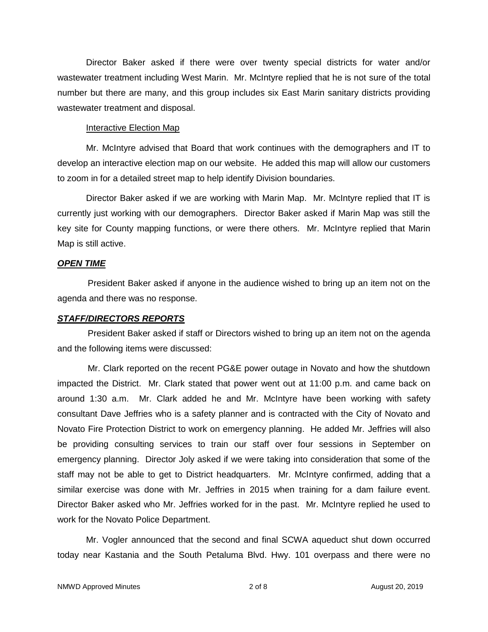Director Baker asked if there were over twenty special districts for water and/or wastewater treatment including West Marin. Mr. McIntyre replied that he is not sure of the total number but there are many, and this group includes six East Marin sanitary districts providing wastewater treatment and disposal.

#### Interactive Election Map

Mr. McIntyre advised that Board that work continues with the demographers and IT to develop an interactive election map on our website. He added this map will allow our customers to zoom in for a detailed street map to help identify Division boundaries.

Director Baker asked if we are working with Marin Map. Mr. McIntyre replied that IT is currently just working with our demographers. Director Baker asked if Marin Map was still the key site for County mapping functions, or were there others. Mr. McIntyre replied that Marin Map is still active.

## *OPEN TIME*

President Baker asked if anyone in the audience wished to bring up an item not on the agenda and there was no response.

### *STAFF/DIRECTORS REPORTS*

President Baker asked if staff or Directors wished to bring up an item not on the agenda and the following items were discussed:

Mr. Clark reported on the recent PG&E power outage in Novato and how the shutdown impacted the District. Mr. Clark stated that power went out at 11:00 p.m. and came back on around 1:30 a.m. Mr. Clark added he and Mr. McIntyre have been working with safety consultant Dave Jeffries who is a safety planner and is contracted with the City of Novato and Novato Fire Protection District to work on emergency planning. He added Mr. Jeffries will also be providing consulting services to train our staff over four sessions in September on emergency planning. Director Joly asked if we were taking into consideration that some of the staff may not be able to get to District headquarters. Mr. McIntyre confirmed, adding that a similar exercise was done with Mr. Jeffries in 2015 when training for a dam failure event. Director Baker asked who Mr. Jeffries worked for in the past. Mr. McIntyre replied he used to work for the Novato Police Department.

Mr. Vogler announced that the second and final SCWA aqueduct shut down occurred today near Kastania and the South Petaluma Blvd. Hwy. 101 overpass and there were no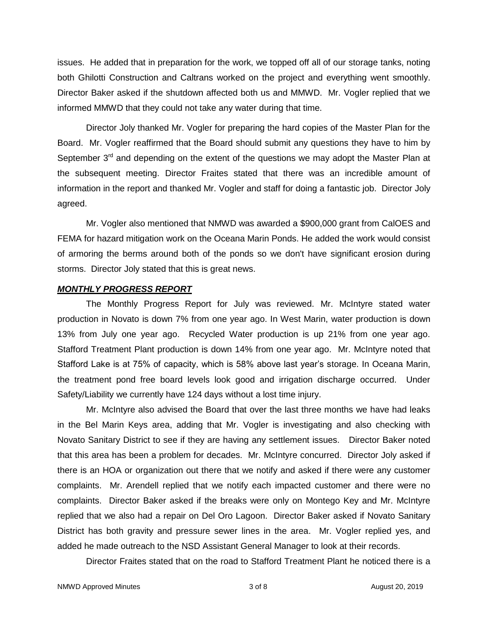issues. He added that in preparation for the work, we topped off all of our storage tanks, noting both Ghilotti Construction and Caltrans worked on the project and everything went smoothly. Director Baker asked if the shutdown affected both us and MMWD. Mr. Vogler replied that we informed MMWD that they could not take any water during that time.

Director Joly thanked Mr. Vogler for preparing the hard copies of the Master Plan for the Board. Mr. Vogler reaffirmed that the Board should submit any questions they have to him by September  $3<sup>rd</sup>$  and depending on the extent of the questions we may adopt the Master Plan at the subsequent meeting. Director Fraites stated that there was an incredible amount of information in the report and thanked Mr. Vogler and staff for doing a fantastic job. Director Joly agreed.

Mr. Vogler also mentioned that NMWD was awarded a \$900,000 grant from CalOES and FEMA for hazard mitigation work on the Oceana Marin Ponds. He added the work would consist of armoring the berms around both of the ponds so we don't have significant erosion during storms. Director Joly stated that this is great news.

#### *MONTHLY PROGRESS REPORT*

The Monthly Progress Report for July was reviewed. Mr. McIntyre stated water production in Novato is down 7% from one year ago. In West Marin, water production is down 13% from July one year ago. Recycled Water production is up 21% from one year ago. Stafford Treatment Plant production is down 14% from one year ago. Mr. McIntyre noted that Stafford Lake is at 75% of capacity, which is 58% above last year's storage. In Oceana Marin, the treatment pond free board levels look good and irrigation discharge occurred. Under Safety/Liability we currently have 124 days without a lost time injury.

Mr. McIntyre also advised the Board that over the last three months we have had leaks in the Bel Marin Keys area, adding that Mr. Vogler is investigating and also checking with Novato Sanitary District to see if they are having any settlement issues. Director Baker noted that this area has been a problem for decades. Mr. McIntyre concurred. Director Joly asked if there is an HOA or organization out there that we notify and asked if there were any customer complaints. Mr. Arendell replied that we notify each impacted customer and there were no complaints. Director Baker asked if the breaks were only on Montego Key and Mr. McIntyre replied that we also had a repair on Del Oro Lagoon. Director Baker asked if Novato Sanitary District has both gravity and pressure sewer lines in the area. Mr. Vogler replied yes, and added he made outreach to the NSD Assistant General Manager to look at their records.

Director Fraites stated that on the road to Stafford Treatment Plant he noticed there is a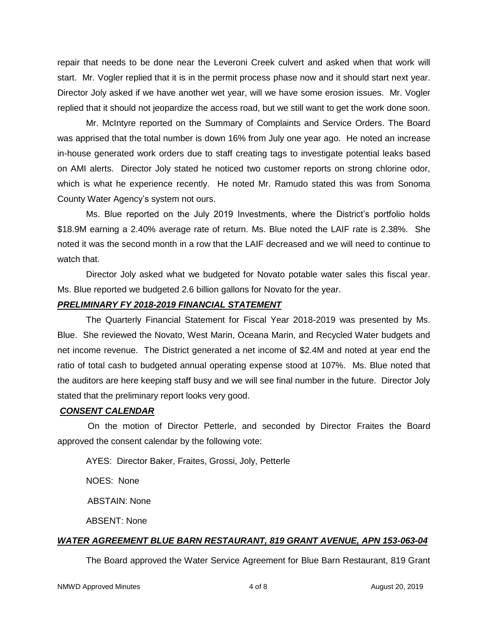repair that needs to be done near the Leveroni Creek culvert and asked when that work will start. Mr. Vogler replied that it is in the permit process phase now and it should start next year. Director Joly asked if we have another wet year, will we have some erosion issues. Mr. Vogler replied that it should not jeopardize the access road, but we still want to get the work done soon.

Mr. McIntyre reported on the Summary of Complaints and Service Orders. The Board was apprised that the total number is down 16% from July one year ago. He noted an increase in-house generated work orders due to staff creating tags to investigate potential leaks based on AMI alerts. Director Joly stated he noticed two customer reports on strong chlorine odor, which is what he experience recently. He noted Mr. Ramudo stated this was from Sonoma County Water Agency's system not ours.

Ms. Blue reported on the July 2019 Investments, where the District's portfolio holds \$18.9M earning a 2.40% average rate of return. Ms. Blue noted the LAIF rate is 2.38%. She noted it was the second month in a row that the LAIF decreased and we will need to continue to watch that.

Director Joly asked what we budgeted for Novato potable water sales this fiscal year. Ms. Blue reported we budgeted 2.6 billion gallons for Novato for the year.

#### *PRELIMINARY FY 2018-2019 FINANCIAL STATEMENT*

The Quarterly Financial Statement for Fiscal Year 2018-2019 was presented by Ms. Blue. She reviewed the Novato, West Marin, Oceana Marin, and Recycled Water budgets and net income revenue. The District generated a net income of \$2.4M and noted at year end the ratio of total cash to budgeted annual operating expense stood at 107%. Ms. Blue noted that the auditors are here keeping staff busy and we will see final number in the future. Director Joly stated that the preliminary report looks very good.

#### *CONSENT CALENDAR*

On the motion of Director Petterle, and seconded by Director Fraites the Board approved the consent calendar by the following vote:

AYES: Director Baker, Fraites, Grossi, Joly, Petterle

NOES: None

ABSTAIN: None

ABSENT: None

#### *WATER AGREEMENT BLUE BARN RESTAURANT, 819 GRANT AVENUE, APN 153-063-04*

The Board approved the Water Service Agreement for Blue Barn Restaurant, 819 Grant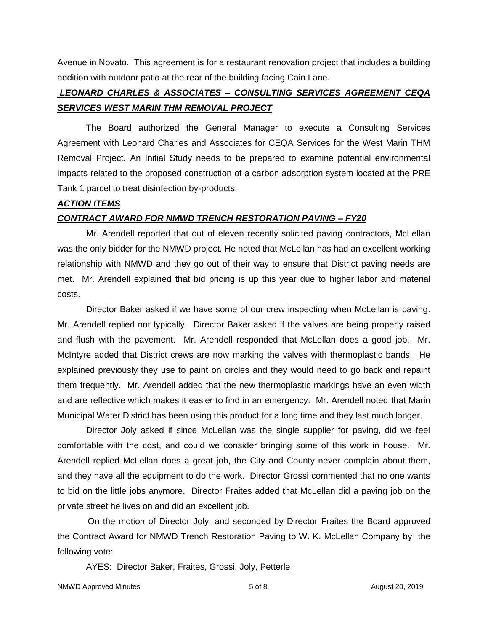Avenue in Novato. This agreement is for a restaurant renovation project that includes a building addition with outdoor patio at the rear of the building facing Cain Lane.

## *LEONARD CHARLES & ASSOCIATES – CONSULTING SERVICES AGREEMENT CEQA SERVICES WEST MARIN THM REMOVAL PROJECT*

The Board authorized the General Manager to execute a Consulting Services Agreement with Leonard Charles and Associates for CEQA Services for the West Marin THM Removal Project. An Initial Study needs to be prepared to examine potential environmental impacts related to the proposed construction of a carbon adsorption system located at the PRE Tank 1 parcel to treat disinfection by-products.

## *ACTION ITEMS*

## *CONTRACT AWARD FOR NMWD TRENCH RESTORATION PAVING – FY20*

Mr. Arendell reported that out of eleven recently solicited paving contractors, McLellan was the only bidder for the NMWD project. He noted that McLellan has had an excellent working relationship with NMWD and they go out of their way to ensure that District paving needs are met. Mr. Arendell explained that bid pricing is up this year due to higher labor and material costs.

Director Baker asked if we have some of our crew inspecting when McLellan is paving. Mr. Arendell replied not typically. Director Baker asked if the valves are being properly raised and flush with the pavement. Mr. Arendell responded that McLellan does a good job. Mr. McIntyre added that District crews are now marking the valves with thermoplastic bands. He explained previously they use to paint on circles and they would need to go back and repaint them frequently. Mr. Arendell added that the new thermoplastic markings have an even width and are reflective which makes it easier to find in an emergency. Mr. Arendell noted that Marin Municipal Water District has been using this product for a long time and they last much longer.

Director Joly asked if since McLellan was the single supplier for paving, did we feel comfortable with the cost, and could we consider bringing some of this work in house. Mr. Arendell replied McLellan does a great job, the City and County never complain about them, and they have all the equipment to do the work. Director Grossi commented that no one wants to bid on the little jobs anymore. Director Fraites added that McLellan did a paving job on the private street he lives on and did an excellent job.

On the motion of Director Joly, and seconded by Director Fraites the Board approved the Contract Award for NMWD Trench Restoration Paving to W. K. McLellan Company by the following vote:

AYES: Director Baker, Fraites, Grossi, Joly, Petterle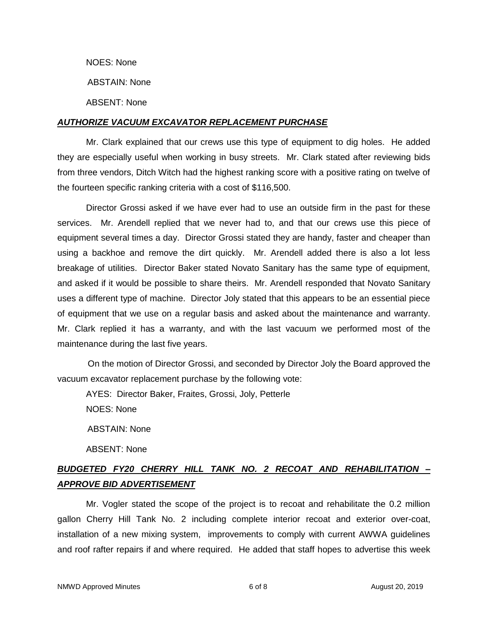NOES: None

ABSTAIN: None

ABSENT: None

## *AUTHORIZE VACUUM EXCAVATOR REPLACEMENT PURCHASE*

Mr. Clark explained that our crews use this type of equipment to dig holes. He added they are especially useful when working in busy streets. Mr. Clark stated after reviewing bids from three vendors, Ditch Witch had the highest ranking score with a positive rating on twelve of the fourteen specific ranking criteria with a cost of \$116,500.

Director Grossi asked if we have ever had to use an outside firm in the past for these services. Mr. Arendell replied that we never had to, and that our crews use this piece of equipment several times a day. Director Grossi stated they are handy, faster and cheaper than using a backhoe and remove the dirt quickly. Mr. Arendell added there is also a lot less breakage of utilities. Director Baker stated Novato Sanitary has the same type of equipment, and asked if it would be possible to share theirs. Mr. Arendell responded that Novato Sanitary uses a different type of machine. Director Joly stated that this appears to be an essential piece of equipment that we use on a regular basis and asked about the maintenance and warranty. Mr. Clark replied it has a warranty, and with the last vacuum we performed most of the maintenance during the last five years.

On the motion of Director Grossi, and seconded by Director Joly the Board approved the vacuum excavator replacement purchase by the following vote:

AYES: Director Baker, Fraites, Grossi, Joly, Petterle

NOES: None

ABSTAIN: None

ABSENT: None

# *BUDGETED FY20 CHERRY HILL TANK NO. 2 RECOAT AND REHABILITATION – APPROVE BID ADVERTISEMENT*

Mr. Vogler stated the scope of the project is to recoat and rehabilitate the 0.2 million gallon Cherry Hill Tank No. 2 including complete interior recoat and exterior over-coat, installation of a new mixing system, improvements to comply with current AWWA guidelines and roof rafter repairs if and where required. He added that staff hopes to advertise this week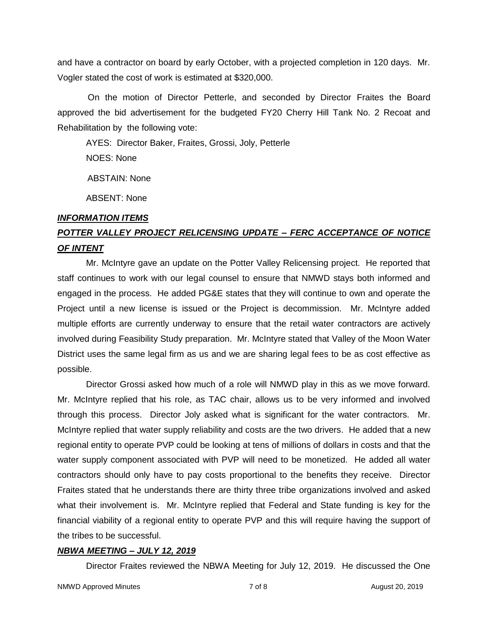and have a contractor on board by early October, with a projected completion in 120 days. Mr. Vogler stated the cost of work is estimated at \$320,000.

On the motion of Director Petterle, and seconded by Director Fraites the Board approved the bid advertisement for the budgeted FY20 Cherry Hill Tank No. 2 Recoat and Rehabilitation by the following vote:

AYES: Director Baker, Fraites, Grossi, Joly, Petterle NOES: None

ABSTAIN: None

ABSENT: None

## *INFORMATION ITEMS*

# *POTTER VALLEY PROJECT RELICENSING UPDATE – FERC ACCEPTANCE OF NOTICE OF INTENT*

Mr. McIntyre gave an update on the Potter Valley Relicensing project. He reported that staff continues to work with our legal counsel to ensure that NMWD stays both informed and engaged in the process. He added PG&E states that they will continue to own and operate the Project until a new license is issued or the Project is decommission. Mr. McIntyre added multiple efforts are currently underway to ensure that the retail water contractors are actively involved during Feasibility Study preparation. Mr. McIntyre stated that Valley of the Moon Water District uses the same legal firm as us and we are sharing legal fees to be as cost effective as possible.

Director Grossi asked how much of a role will NMWD play in this as we move forward. Mr. McIntyre replied that his role, as TAC chair, allows us to be very informed and involved through this process. Director Joly asked what is significant for the water contractors. Mr. McIntyre replied that water supply reliability and costs are the two drivers. He added that a new regional entity to operate PVP could be looking at tens of millions of dollars in costs and that the water supply component associated with PVP will need to be monetized. He added all water contractors should only have to pay costs proportional to the benefits they receive. Director Fraites stated that he understands there are thirty three tribe organizations involved and asked what their involvement is. Mr. McIntyre replied that Federal and State funding is key for the financial viability of a regional entity to operate PVP and this will require having the support of the tribes to be successful.

## *NBWA MEETING – JULY 12, 2019*

Director Fraites reviewed the NBWA Meeting for July 12, 2019. He discussed the One